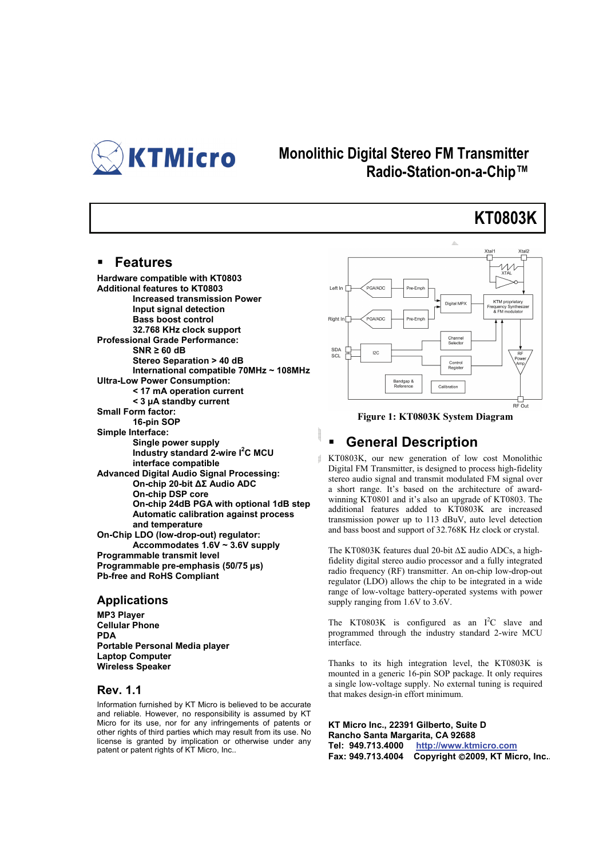

### **Monolithic Digital Stereo FM Transmitter Radio-Station-on-a-Chip™**

## **KT0803K**

#### **Features**

**Hardware compatible with KT0803 Additional features to KT0803 Increased transmission Power Input signal detection Bass boost control 32.768 KHz clock support Professional Grade Performance: SNR ≥ 60 dB Stereo Separation > 40 dB International compatible 70MHz ~ 108MHz Ultra-Low Power Consumption: < 17 mA operation current < 3 µA standby current Small Form factor: 16-pin SOP Simple Interface: Single power supply**  Industry standard 2-wire I<sup>2</sup>C MCU **interface compatible Advanced Digital Audio Signal Processing: On-chip 20-bit ΔΣ Audio ADC On-chip DSP core On-chip 24dB PGA with optional 1dB step Automatic calibration against process and temperature On-Chip LDO (low-drop-out) regulator: Accommodates 1.6V ~ 3.6V supply Programmable transmit level Programmable pre-emphasis (50/75 µs) Pb-free and RoHS Compliant** 

#### **Applications**

**MP3 Player Cellular Phone PDA Portable Personal Media player Laptop Computer Wireless Speaker** 

#### **Rev. 1.1**

Information furnished by KT Micro is believed to be accurate and reliable. However, no responsibility is assumed by KT Micro for its use, nor for any infringements of patents or other rights of third parties which may result from its use. No license is granted by implication or otherwise under any patent or patent rights of KT Micro, Inc..



**Figure 1: KT0803K System Diagram** 

#### **General Description**

KT0803K, our new generation of low cost Monolithic Digital FM Transmitter, is designed to process high-fidelity stereo audio signal and transmit modulated FM signal over a short range. It's based on the architecture of awardwinning KT0801 and it's also an upgrade of KT0803. The additional features added to KT0803K are increased transmission power up to 113 dBuV, auto level detection and bass boost and support of 32.768K Hz clock or crystal.

The KT0803K features dual 20-bit ΔΣ audio ADCs, a highfidelity digital stereo audio processor and a fully integrated radio frequency (RF) transmitter. An on-chip low-drop-out regulator (LDO) allows the chip to be integrated in a wide range of low-voltage battery-operated systems with power supply ranging from 1.6V to 3.6V.

The KT0803K is configured as an  $I^2C$  slave and programmed through the industry standard 2-wire MCU interface.

Thanks to its high integration level, the KT0803K is mounted in a generic 16-pin SOP package. It only requires a single low-voltage supply. No external tuning is required that makes design-in effort minimum.

**KT Micro Inc., 22391 Gilberto, Suite D Rancho Santa Margarita, CA 92688 Tel: 949.713.4000 http://www.ktmicro.com Fax: 949.713.4004 Copyright** ©**2009, KT Micro, Inc..**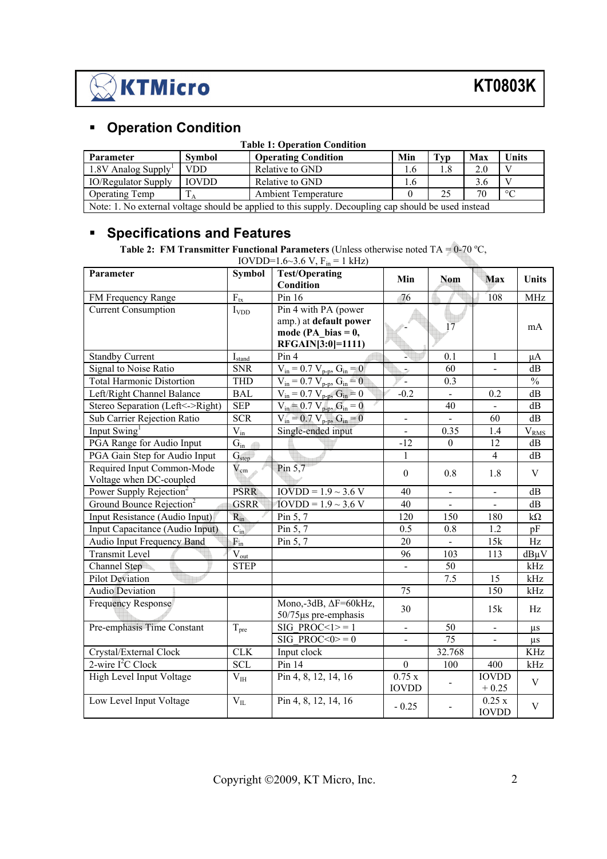

### **Operation Condition**

| <b>Table 1: Operation Condition</b>                                                                  |        |                            |     |     |     |              |  |  |
|------------------------------------------------------------------------------------------------------|--------|----------------------------|-----|-----|-----|--------------|--|--|
| <b>Parameter</b>                                                                                     | Symbol | <b>Operating Condition</b> | Min | Typ | Max | <b>Units</b> |  |  |
| $1.8V$ Analog Supply <sup>1</sup><br><b>VDD</b><br>Relative to GND<br>2.0<br>1.6                     |        |                            |     |     |     |              |  |  |
| <b>IOVDD</b><br><b>IO/Regulator Supply</b><br>Relative to GND<br>3.6<br>1.6                          |        |                            |     |     |     |              |  |  |
| $\circ$<br><b>Ambient Temperature</b><br>70<br><b>Operating Temp</b><br>25                           |        |                            |     |     |     |              |  |  |
| Note: 1. No external voltage should be applied to this supply. Decoupling cap should be used instead |        |                            |     |     |     |              |  |  |

### **Specifications and Features**

**Table 2: FM Transmitter Functional Parameters** (Unless otherwise noted TA =  $0\n-70$  °C,

| Parameter                            | <b>Symbol</b>      | <b>Test/Operating</b>                 | Min                      | <b>Nom</b>                   | <b>Max</b>     | Units                            |
|--------------------------------------|--------------------|---------------------------------------|--------------------------|------------------------------|----------------|----------------------------------|
|                                      |                    | Condition                             |                          |                              |                |                                  |
| FM Frequency Range                   | $F_{tx}$           | Pin 16                                | 76                       |                              | 108            | <b>MHz</b>                       |
| <b>Current Consumption</b>           | $I_{VDD}$          | Pin 4 with PA (power                  |                          |                              |                |                                  |
|                                      |                    | amp.) at default power                |                          | 17                           |                | mA                               |
|                                      |                    | mode (PA bias = $0$ ,                 |                          |                              |                |                                  |
|                                      |                    | RFGAIN[3:0]=1111)                     |                          |                              |                |                                  |
| <b>Standby Current</b>               | $I_{\text{stand}}$ | Pin 4                                 |                          | 0.1                          | 1              | μA                               |
| Signal to Noise Ratio                | <b>SNR</b>         | $V_{in} = 0.7 V_{p-p}$ , $G_{in} = 0$ | ž,                       | 60                           | $\blacksquare$ | dB                               |
| <b>Total Harmonic Distortion</b>     | <b>THD</b>         | $V_{in} = 0.7 V_{p-p}$ , $G_{in} = 0$ | $\omega$                 | 0.3                          |                | $\frac{0}{0}$                    |
| Left/Right Channel Balance           | <b>BAL</b>         | $V_{in} = 0.7 V_{p-p}$ , $G_{in} = 0$ | $-0.2$                   |                              | 0.2            | dB                               |
| Stereo Separation (Left <- > Right)  | <b>SEP</b>         | $V_{in} = 0.7 V_{p-p}, G_{in} = 0$    |                          | 40                           | $\blacksquare$ | dB                               |
| Sub Carrier Rejection Ratio          | <b>SCR</b>         | $V_{in} = 0.7 V_{p-p}, G_{in} = 0$    | $\overline{\phantom{a}}$ |                              | 60             | dB                               |
| Input Swing <sup>1</sup>             | $V_{in}$           | Single-ended input                    | $\blacksquare$           | 0.35                         | 1.4            | $\overline{V}_{\underline{RMS}}$ |
| PGA Range for Audio Input            | $G_{in}$           |                                       | $-12$                    | $\boldsymbol{0}$             | 12             | dB                               |
| PGA Gain Step for Audio Input        | G <sub>step</sub>  |                                       | 1                        |                              | $\overline{4}$ | dB                               |
| Required Input Common-Mode           | $\rm V_{cm}$       | Pin $5,7$                             | $\boldsymbol{0}$         | 0.8                          | 1.8            | V                                |
| Voltage when DC-coupled              |                    |                                       |                          |                              |                |                                  |
| Power Supply Rejection <sup>2</sup>  | <b>PSRR</b>        | $IOVDD = 1.9 ~ 3.6 V$                 | 40                       | $\qquad \qquad \blacksquare$ | $\frac{1}{2}$  | dB                               |
| Ground Bounce Rejection <sup>2</sup> | <b>GSRR</b>        | $10VDD = 1.9 \sim 3.6 V$              | 40                       |                              |                | dB                               |
| Input Resistance (Audio Input)       | $R_{in}$           | Pin 5, 7                              | 120                      | 150                          | 180            | $k\Omega$                        |
| Input Capacitance (Audio Input)      | $C_{in}$           | Pin 5, 7                              | 0.5                      | 0.8                          | 1.2            | pF                               |
| Audio Input Frequency Band           | $F_{in}$           | Pin 5, 7                              | 20                       | $\blacksquare$               | 15k            | Hz                               |
| <b>Transmit Level</b>                | $V_{out}$          |                                       | 96                       | 103                          | 113            | $dB\mu V$                        |
| Channel Step                         | <b>STEP</b>        |                                       | $\blacksquare$           | 50                           |                | kHz                              |
| <b>Pilot Deviation</b>               |                    |                                       |                          | 7.5                          | 15             | kHz                              |
| <b>Audio Deviation</b>               |                    |                                       | 75                       |                              | 150            | kHz                              |
| Frequency Response                   |                    | Mono,-3dB, $\Delta F = 60kHz$ ,       | 30                       |                              | 15k            | Hz                               |
|                                      |                    | $50/75$ µs pre-emphasis               |                          |                              |                |                                  |
| Pre-emphasis Time Constant           | $T_{pre}$          | SIG PROC << $1$ > = 1                 | $\overline{\phantom{a}}$ | 50                           |                | $\mu s$                          |
|                                      |                    | SIG PROC $<0$ $>$ =0                  |                          | 75                           |                | $\mu s$                          |
| Crystal/External Clock               | CLK                | Input clock                           |                          | 32.768                       |                | <b>KHz</b>                       |
| $2$ -wire $I2C$ Clock                | <b>SCL</b>         | Pin 14                                | $\theta$                 | 100                          | 400            | kHz                              |
| High Level Input Voltage             | $V_{III}$          | Pin 4, 8, 12, 14, 16                  | 0.75x                    |                              | <b>IOVDD</b>   | V                                |
|                                      |                    |                                       | <b>IOVDD</b>             |                              | $+0.25$        |                                  |
| Low Level Input Voltage              | $V_{IL}$           | Pin 4, 8, 12, 14, 16                  | $-0.25$                  |                              | 0.25x          | $\mathbf V$                      |
|                                      |                    |                                       |                          |                              | <b>IOVDD</b>   |                                  |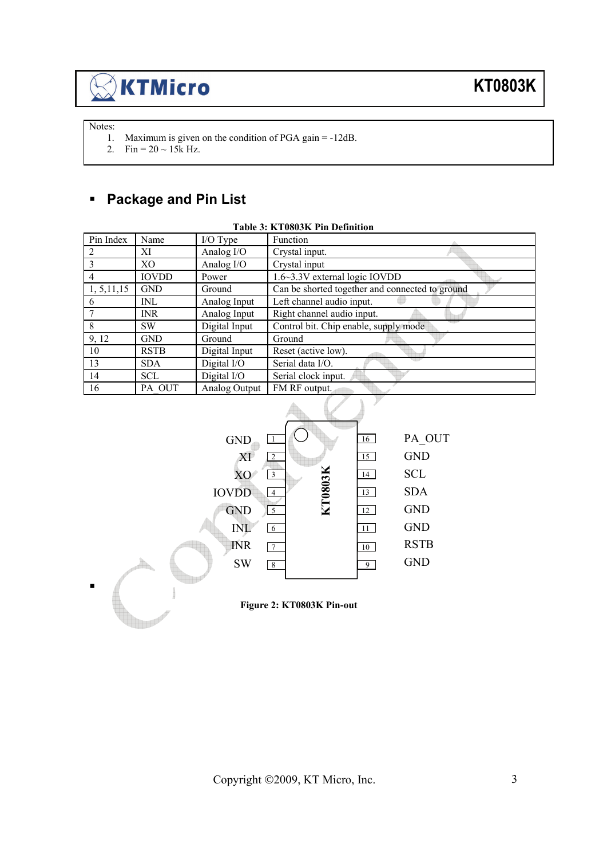Notes:

1. Maximum is given on the condition of PGA gain = -12dB.

2. Fin =  $20 \sim 15k$  Hz.

## **Package and Pin List**

|              | Table 3: KT0803K Pin Definition |               |                                                 |  |  |  |  |  |  |
|--------------|---------------------------------|---------------|-------------------------------------------------|--|--|--|--|--|--|
| Pin Index    | Name                            | I/O Type      | Function                                        |  |  |  |  |  |  |
| 2            | ХI                              | Analog I/O    | Crystal input.                                  |  |  |  |  |  |  |
| 3            | X <sub>O</sub>                  | Analog I/O    | Crystal input                                   |  |  |  |  |  |  |
| 4            | <b>IOVDD</b>                    | Power         | 1.6~3.3V external logic IOVDD                   |  |  |  |  |  |  |
| 1, 5, 11, 15 | <b>GND</b>                      | Ground        | Can be shorted together and connected to ground |  |  |  |  |  |  |
| 6            | <b>INL</b>                      | Analog Input  | Left channel audio input.                       |  |  |  |  |  |  |
|              | <b>INR</b>                      | Analog Input  | Right channel audio input.                      |  |  |  |  |  |  |
| 8            | <b>SW</b>                       | Digital Input | Control bit. Chip enable, supply mode           |  |  |  |  |  |  |
| 9, 12        | <b>GND</b>                      | Ground        | Ground                                          |  |  |  |  |  |  |
| 10           | <b>RSTB</b>                     | Digital Input | Reset (active low).                             |  |  |  |  |  |  |
| 13           | <b>SDA</b>                      | Digital I/O   | Serial data I/O.                                |  |  |  |  |  |  |
| 14           | <b>SCL</b>                      | Digital I/O   | Serial clock input.                             |  |  |  |  |  |  |
| 16           | PA OUT                          | Analog Output | FM RF output.                                   |  |  |  |  |  |  |



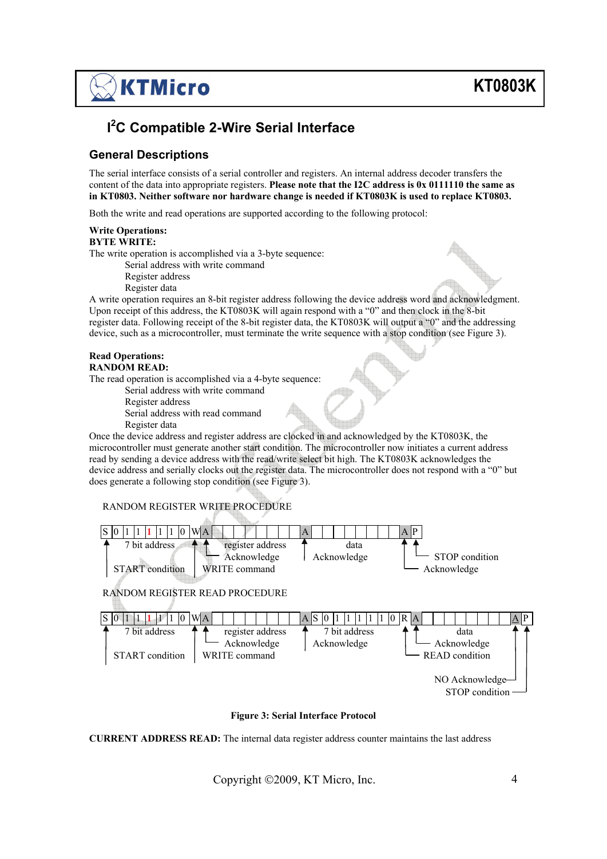## **I 2 C Compatible 2-Wire Serial Interface**

#### **General Descriptions**

The serial interface consists of a serial controller and registers. An internal address decoder transfers the content of the data into appropriate registers. **Please note that the I2C address is 0x 0111110 the same as in KT0803. Neither software nor hardware change is needed if KT0803K is used to replace KT0803.** 

Both the write and read operations are supported according to the following protocol:

#### **Write Operations: BYTE WRITE:**

The write operation is accomplished via a 3-byte sequence:

- Serial address with write command
- Register address
- Register data

A write operation requires an 8-bit register address following the device address word and acknowledgment. Upon receipt of this address, the KT0803K will again respond with a "0" and then clock in the 8-bit register data. Following receipt of the 8-bit register data, the KT0803K will output a "0" and the addressing device, such as a microcontroller, must terminate the write sequence with a stop condition (see Figure 3).

#### **Read Operations: RANDOM READ:**

The read operation is accomplished via a 4-byte sequence:

- Serial address with write command
- Register address
- Serial address with read command
- Register data

Once the device address and register address are clocked in and acknowledged by the KT0803K, the microcontroller must generate another start condition. The microcontroller now initiates a current address read by sending a device address with the read/write select bit high. The KT0803K acknowledges the device address and serially clocks out the register data. The microcontroller does not respond with a "0" but does generate a following stop condition (see Figure 3).

#### RANDOM REGISTER WRITE PROCEDURE



**Figure 3: Serial Interface Protocol** 

**CURRENT ADDRESS READ:** The internal data register address counter maintains the last address

Copyright ©2009, KT Micro, Inc. 4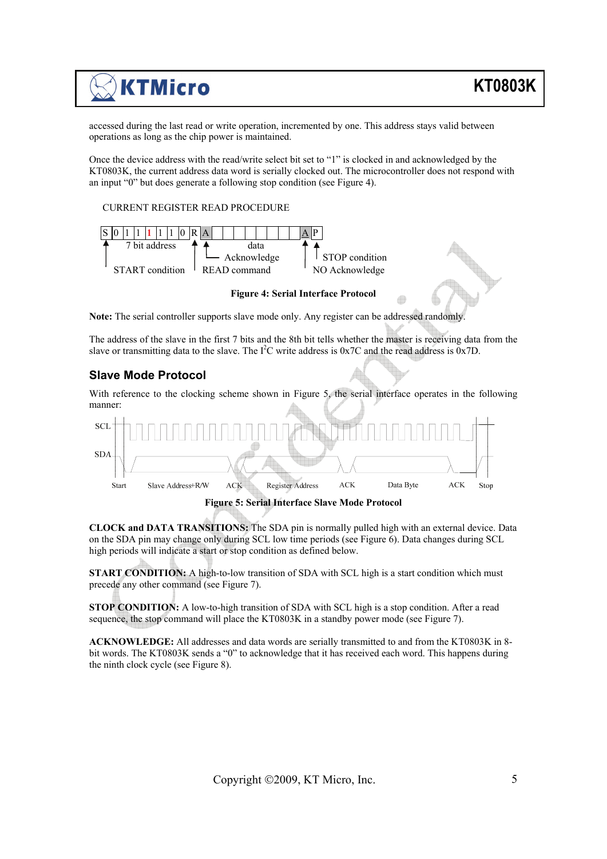accessed during the last read or write operation, incremented by one. This address stays valid between operations as long as the chip power is maintained.

Once the device address with the read/write select bit set to "1" is clocked in and acknowledged by the KT0803K, the current address data word is serially clocked out. The microcontroller does not respond with an input "0" but does generate a following stop condition (see Figure 4).

#### CURRENT REGISTER READ PROCEDURE



**Figure 4: Serial Interface Protocol** 

**Note:** The serial controller supports slave mode only. Any register can be addressed randomly.

The address of the slave in the first 7 bits and the 8th bit tells whether the master is receiving data from the slave or transmitting data to the slave. The  $I^2C$  write address is  $0x7C$  and the read address is  $0x7D$ .

#### **Slave Mode Protocol**

With reference to the clocking scheme shown in Figure 5, the serial interface operates in the following manner:



**Figure 5: Serial Interface Slave Mode Protocol** 

**CLOCK and DATA TRANSITIONS:** The SDA pin is normally pulled high with an external device. Data on the SDA pin may change only during SCL low time periods (see Figure 6). Data changes during SCL high periods will indicate a start or stop condition as defined below.

**START CONDITION:** A high-to-low transition of SDA with SCL high is a start condition which must precede any other command (see Figure 7).

**STOP CONDITION:** A low-to-high transition of SDA with SCL high is a stop condition. After a read sequence, the stop command will place the KT0803K in a standby power mode (see Figure 7).

**ACKNOWLEDGE:** All addresses and data words are serially transmitted to and from the KT0803K in 8 bit words. The KT0803K sends a "0" to acknowledge that it has received each word. This happens during the ninth clock cycle (see Figure 8).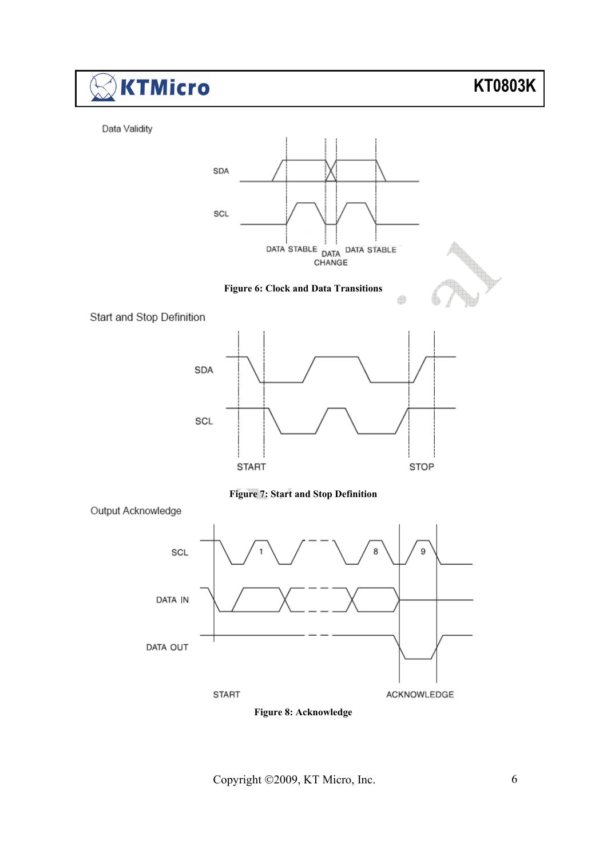

**START** 

**Figure 8: Acknowledge** 

ACKNOWLEDGE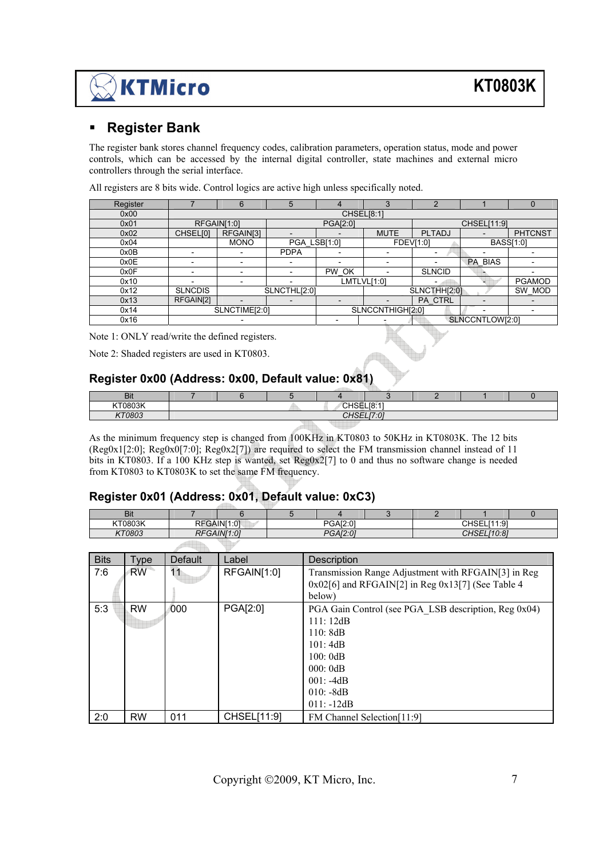#### **Register Bank**

The register bank stores channel frequency codes, calibration parameters, operation status, mode and power controls, which can be accessed by the internal digital controller, state machines and external micro controllers through the serial interface.

| Register |                          | 6                        | 5                        | 4                        | 3                | ◠                        |                 |                  |
|----------|--------------------------|--------------------------|--------------------------|--------------------------|------------------|--------------------------|-----------------|------------------|
| 0x00     |                          |                          |                          |                          | CHSEL[8:1]       |                          |                 |                  |
| 0x01     |                          | RFGAIN[1:0]              |                          | PGA[2:0]                 |                  |                          | CHSEL[11:9]     |                  |
| 0x02     | CHSEL[0]                 | RFGAIN[3]                |                          |                          | <b>MUTE</b>      | <b>PLTADJ</b>            |                 | <b>PHTCNST</b>   |
| 0x04     |                          | <b>MONO</b>              | PGA LSB[1:0]             |                          |                  | <b>FDEV[1:0]</b>         |                 | <b>BASS[1:0]</b> |
| 0x0B     | $\overline{\phantom{0}}$ | $\overline{\phantom{0}}$ | <b>PDPA</b>              | $\overline{\phantom{0}}$ |                  | $\overline{\phantom{0}}$ |                 |                  |
| 0x0E     | $\overline{\phantom{0}}$ | $\overline{\phantom{0}}$ | $\overline{\phantom{0}}$ |                          |                  |                          | <b>PA BIAS</b>  |                  |
| 0x0F     | $\overline{\phantom{0}}$ | $\overline{\phantom{0}}$ | $\overline{\phantom{0}}$ | PW OK                    |                  | <b>SLNCID</b>            |                 |                  |
| 0x10     |                          |                          |                          |                          | LMTLVL[1:0]      |                          |                 | <b>PGAMOD</b>    |
| 0x12     | <b>SLNCDIS</b>           |                          | SLNCTHL[2:0]             |                          |                  | SLNCTHH[2:0]             |                 | SW MOD           |
| 0x13     | RFGAIN[2]                |                          |                          |                          |                  | <b>PA CTRL</b>           |                 |                  |
| 0x14     |                          | SLNCTIME[2:0]            |                          |                          | SLNCCNTHIGH[2:0] |                          |                 |                  |
| 0x16     |                          |                          |                          |                          |                  |                          | SLNCCNTLOW[2:0] |                  |

All registers are 8 bits wide. Control logics are active high unless specifically noted.

Note 1: ONLY read/write the defined registers.

Note 2: Shaded registers are used in KT0803.

#### **Register 0x00 (Address: 0x00, Default value: 0x81)**

| <b>Bit</b> |                       |                           |  |  |  |  |  |  |
|------------|-----------------------|---------------------------|--|--|--|--|--|--|
| KT0803K    |                       | O(10E1R)<br>⊤ ∪⊺≀∪⊑∟∣0. . |  |  |  |  |  |  |
| 270000     | O(10E1E.01)<br>ישבוני |                           |  |  |  |  |  |  |
|            |                       |                           |  |  |  |  |  |  |

As the minimum frequency step is changed from 100KHz in KT0803 to 50KHz in KT0803K. The 12 bits (Reg0x1[2:0]; Reg0x0[7:0]; Reg0x2[7]) are required to select the FM transmission channel instead of 11 bits in KT0803. If a 100 KHz step is wanted, set Reg0x2[7] to 0 and thus no software change is needed from KT0803 to KT0803K to set the same FM frequency.

#### **Register 0x01 (Address: 0x01, Default value: 0xC3)**

| <b>Bit</b> |                                 |                  |                     |                           |        |  |                                               |  |
|------------|---------------------------------|------------------|---------------------|---------------------------|--------|--|-----------------------------------------------|--|
| KT0803K    | DE (<br>NF                      | <b>GAIN[1:0]</b> |                     | יח מו מ<br>DC.<br>∪:AIZ:U |        |  | 14.01<br>$\bigcap$ $\bigcap$<br>◡▯◡∟∟<br>ن. ا |  |
| KT0803     | ΛГ                              | VI1:01<br>'NI    | DCAIO·01<br>UAIZ.U' |                           | 140.01 |  |                                               |  |
|            | the company's department of the |                  |                     |                           |        |  |                                               |  |

| <b>Bits</b> | <b>Type</b> | <b>Default</b> | Label       | Description                                                                                                                                                |
|-------------|-------------|----------------|-------------|------------------------------------------------------------------------------------------------------------------------------------------------------------|
| 7:6         | <b>RW</b>   | 11             | RFGAIN[1:0] | Transmission Range Adjustment with RFGAIN[3] in Reg<br>$0x02[6]$ and RFGAIN[2] in Reg $0x13[7]$ (See Table 4<br>below)                                     |
| 5:3         | <b>RW</b>   | 000            | PGA[2:0]    | PGA Gain Control (see PGA LSB description, Reg 0x04)<br>111:12dB<br>110:8dB<br>101:4dB<br>100:0dB<br>000:0dB<br>$001: -4dB$<br>$010: -8dB$<br>$011: -12dB$ |
| 2:0         | <b>RW</b>   | 011            | CHSEL[11:9] | FM Channel Selection[11:9]                                                                                                                                 |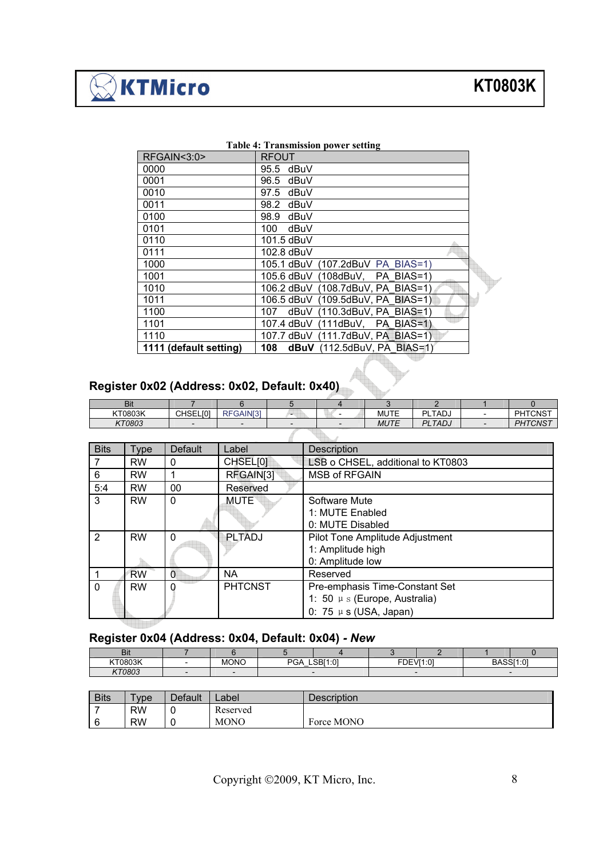$\sqrt[3]{\textsf{KTM}$ icro

| <b>Table 4: Transmission power setting</b> |                                      |  |  |  |  |  |  |
|--------------------------------------------|--------------------------------------|--|--|--|--|--|--|
| RFGAIN<3:0>                                | <b>RFOUT</b>                         |  |  |  |  |  |  |
| 0000                                       | 95.5 dBuV                            |  |  |  |  |  |  |
| 0001                                       | 96.5 dBuV                            |  |  |  |  |  |  |
| 0010                                       | 97.5 dBuV                            |  |  |  |  |  |  |
| 0011                                       | dBuV<br>98.2                         |  |  |  |  |  |  |
| 0100                                       | dBuV<br>98.9                         |  |  |  |  |  |  |
| 0101                                       | dBuV<br>100                          |  |  |  |  |  |  |
| 0110                                       | 101.5 dBuV                           |  |  |  |  |  |  |
| 0111                                       | 102.8 dBuV                           |  |  |  |  |  |  |
| 1000                                       | 105.1 dBuV (107.2dBuV PA BIAS=1)     |  |  |  |  |  |  |
| 1001                                       | 105.6 dBuV (108dBuV, PA BIAS=1)      |  |  |  |  |  |  |
| 1010                                       | 106.2 dBuV (108.7dBuV, PA BIAS=1)    |  |  |  |  |  |  |
| 1011                                       | 106.5 dBuV (109.5dBuV, PA BIAS=1)    |  |  |  |  |  |  |
| 1100                                       | dBuV (110.3dBuV, PA BIAS=1)<br>107 - |  |  |  |  |  |  |
| 1101                                       | 107.4 dBuV (111dBuV, PA BIAS=1)      |  |  |  |  |  |  |
| 1110                                       | 107.7 dBuV (111.7dBuV, PA BIAS=1)    |  |  |  |  |  |  |
| 1111 (default setting)                     | dBuV (112.5dBuV, PA BIAS=1)<br>108   |  |  |  |  |  |  |

#### **Table 4: Transmission power setting**

## **Register 0x02 (Address: 0x02, Default: 0x40)**

| Bit     |                 |                           |   |             |                          |                            |
|---------|-----------------|---------------------------|---|-------------|--------------------------|----------------------------|
| KT0803K | <b>CHSELI01</b> | GAIN <sub>31</sub><br>RF۱ | - | MUTE        | LTADJ<br>ום              | <b>PHTCNST</b>             |
| KT0803  |                 |                           |   | <b>MUTE</b> | <b>PLTAD<sub>J</sub></b> | <i><b>ITCNST</b></i><br>DL |
|         |                 |                           |   |             |                          |                            |

| <b>Bits</b> | Type      | Default  | Label          | <b>Description</b>                                                                            |
|-------------|-----------|----------|----------------|-----------------------------------------------------------------------------------------------|
| 7           | <b>RW</b> | 0        | CHSEL[0]       | LSB o CHSEL, additional to KT0803                                                             |
| 6           | <b>RW</b> |          | RFGAIN[3]      | <b>MSB of RFGAIN</b>                                                                          |
| 5:4         | <b>RW</b> | 00       | Reserved       |                                                                                               |
| 3           | <b>RW</b> | $\Omega$ | <b>MUTE</b>    | Software Mute<br>1: MUTE Enabled<br>0: MUTE Disabled                                          |
| 2           | <b>RW</b> | $\Omega$ | <b>PLTADJ</b>  | Pilot Tone Amplitude Adjustment<br>1: Amplitude high<br>0: Amplitude low                      |
|             | <b>RW</b> | 0        | NA.            | Reserved                                                                                      |
| $\Omega$    | <b>RW</b> | $\Omega$ | <b>PHTCNST</b> | Pre-emphasis Time-Constant Set<br>1: 50 µ s (Europe, Australia)<br>0: 75 $\mu$ s (USA, Japan) |

### **Register 0x04 (Address: 0x04, Default: 0x04)** *- New*

| <b>Bit</b> |             |                |          |             |       |       |                        |
|------------|-------------|----------------|----------|-------------|-------|-------|------------------------|
| KT0803K    | <b>MONO</b> | nn.<br>£<br>⊬ت | LSBI1:01 | <b>FDF\</b> | VI1:0 | וטכאס | D A C C I 4.01<br>ט. ו |
| KT0803     |             |                |          |             |       |       |                        |

| <b>Bits</b> | $TV$ pe   | Default | ∠abel       | Description |
|-------------|-----------|---------|-------------|-------------|
|             | <b>RW</b> | u       | Reserved    |             |
| 6           | <b>RW</b> | ັ       | <b>MONO</b> | Force MONO  |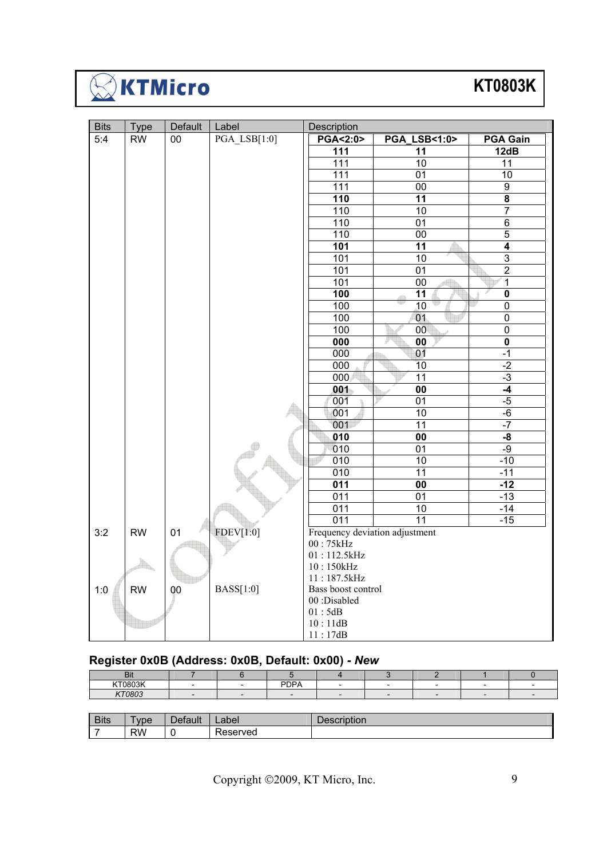

## **KT0803K**

| <b>Bits</b> | <b>Type</b> | Default | Label               | Description                    |                           |                         |
|-------------|-------------|---------|---------------------|--------------------------------|---------------------------|-------------------------|
| 5:4         | <b>RW</b>   | 00      | <b>PGA LSB[1:0]</b> | <b>PGA&lt;2:0&gt;</b>          | <b>PGA LSB&lt;1:0&gt;</b> | <b>PGA Gain</b>         |
|             |             |         |                     | 111                            | 11                        | 12dB                    |
|             |             |         |                     | 111                            | $\overline{10}$           | 11                      |
|             |             |         |                     | 111                            | 01                        | 10                      |
|             |             |         |                     | 111                            | 00                        | $\overline{9}$          |
|             |             |         |                     | 110                            | 11                        | $\overline{\mathbf{8}}$ |
|             |             |         |                     | 110                            | 10                        | $\overline{7}$          |
|             |             |         |                     | 110                            | 01                        | $\overline{6}$          |
|             |             |         |                     | 110                            | $\overline{00}$           | $\overline{5}$          |
|             |             |         |                     | 101                            | 11                        | $\overline{\mathbf{4}}$ |
|             |             |         |                     | 101                            | $\overline{10}$           | $\overline{3}$          |
|             |             |         |                     | 101                            | 01                        | $\overline{2}$          |
|             |             |         |                     | 101                            | 00                        | 1                       |
|             |             |         |                     | 100                            | $\overline{11}$           | $\overline{\mathbf{0}}$ |
|             |             |         |                     | 100                            | 10                        | $\overline{0}$          |
|             |             |         |                     | 100                            | 01                        | $\overline{0}$          |
|             |             |         |                     | 100                            | 00                        | $\mathbf 0$             |
|             |             |         |                     | 000                            | $\overline{00}$           | $\overline{\mathbf{0}}$ |
|             |             |         |                     | 000                            | 01                        | $-1$                    |
|             |             |         |                     | 000                            | 10                        | $-2$                    |
|             |             |         |                     | 000                            | 11                        | $-3$                    |
|             |             |         |                     | 001                            | $\overline{00}$           | $-4$                    |
|             |             |         |                     | 001                            | 01                        | $-5$                    |
|             |             |         |                     | 001                            | 10                        | $-6$                    |
|             |             |         |                     | 001                            | 11                        | $-7$                    |
|             |             |         |                     | 010                            | $\overline{00}$           | $-\frac{8}{3}$          |
|             |             |         |                     | 010                            | 01                        | $-9$                    |
|             |             |         |                     | 010                            | 10                        | $-10$                   |
|             |             |         |                     | 010                            | $\overline{11}$           | $-11$                   |
|             |             |         |                     | $\overline{011}$               | $\overline{00}$           | $-12$                   |
|             |             |         |                     | 011                            | 01                        | $-13$                   |
|             |             |         |                     | 011                            | 10                        | $-14$                   |
|             |             |         |                     | 011                            | 11                        | $-15$                   |
| 3:2         | <b>RW</b>   | 01      | <b>FDEV[1:0]</b>    | Frequency deviation adjustment |                           |                         |
|             |             |         |                     | 00:75kHz                       |                           |                         |
|             |             |         |                     | 01:112.5kHz                    |                           |                         |
|             |             |         |                     | 10:150kHz                      |                           |                         |
|             |             |         |                     | 11:187.5kHz                    |                           |                         |
| 1:0         | <b>RW</b>   | 00      | <b>BASS[1:0]</b>    | Bass boost control             |                           |                         |
|             |             |         |                     | 00:Disabled                    |                           |                         |
|             |             |         |                     | 01:5dB                         |                           |                         |
|             |             |         |                     | 10:11dB                        |                           |                         |
|             |             |         |                     | 11:17dB                        |                           |                         |

### **Register 0x0B (Address: 0x0B, Default: 0x00)** *- New*

| --                                              |  |                 |  |  |  |
|-------------------------------------------------|--|-----------------|--|--|--|
|                                                 |  | DD <sub>D</sub> |  |  |  |
| $\cdot$ $\cdot$ $\cdot$ $\cdot$ $\cdot$ $\cdot$ |  |                 |  |  |  |

| <b>Bits</b> | <b>vpe</b> | 10111<br>aur | ⊥abel∴        | <b>Description</b> |
|-------------|------------|--------------|---------------|--------------------|
| -           | <b>RW</b>  |              | –<br>⊀eserved |                    |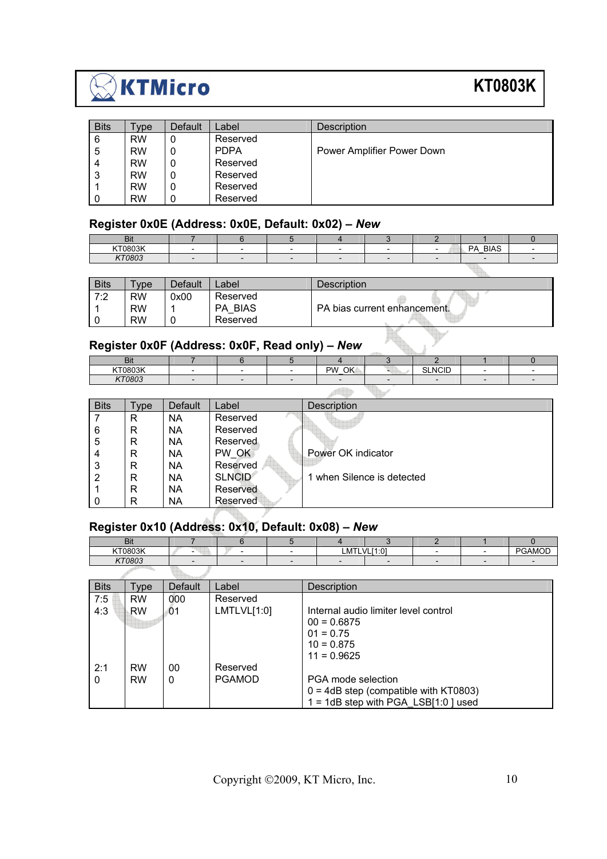

## **KT0803K**

qr.

| <b>Bits</b> | Type      | Default | Label       | Description                |
|-------------|-----------|---------|-------------|----------------------------|
| -6          | <b>RW</b> | 0       | Reserved    |                            |
| -5          | <b>RW</b> | 0       | <b>PDPA</b> | Power Amplifier Power Down |
| 4           | <b>RW</b> | 0       | Reserved    |                            |
| 3           | <b>RW</b> | 0       | Reserved    |                            |
|             | <b>RW</b> | 0       | Reserved    |                            |
| -0          | <b>RW</b> | 0       | Reserved    |                            |

#### **Register 0x0E (Address: 0x0E, Default: 0x02)** *– New*

| יים               |  |  |  |                                             |  |
|-------------------|--|--|--|---------------------------------------------|--|
| $-1 - 1 - 1$<br>. |  |  |  | -<br>ת ר<br>יוכ<br>$\overline{\phantom{a}}$ |  |
|                   |  |  |  |                                             |  |

| <b>Bits</b> | $v$ pe    | Default | _abel          | Description                  |
|-------------|-----------|---------|----------------|------------------------------|
| 7:2         | <b>RW</b> | 0x00    | Reserved       |                              |
|             | <b>RW</b> |         | <b>PA BIAS</b> | PA bias current enhancement. |
| -0          | <b>RW</b> |         | Reserved       |                              |

## **Register 0x0F (Address: 0x0F, Read only)** *– New*

| ים:<br>DЦ |  |                  |                      |  |
|-----------|--|------------------|----------------------|--|
| KT0803K   |  | OK.<br><b>PW</b> | ------<br>NO<br>שוטו |  |
| 1770000   |  |                  |                      |  |

 $\sqrt{2}$ 

| <b>Bits</b> | Type | <b>Default</b> | Label         | <b>Description</b>       |
|-------------|------|----------------|---------------|--------------------------|
|             | R    | NA             | Reserved      |                          |
| 6           | R    | <b>NA</b>      | Reserved      |                          |
| -5          | R    | <b>NA</b>      | Reserved      |                          |
| 4           | R    | <b>NA</b>      | PW OK         | Power OK indicator       |
| -3          | R    | <b>NA</b>      | Reserved      |                          |
| -2          | R    | <b>NA</b>      | <b>SLNCID</b> | when Silence is detected |
|             | R    | <b>NA</b>      | Reserved      |                          |
| - 0         | R    | <b>NA</b>      | Reserved      |                          |

## **Register 0x10 (Address: 0x10, Default: 0x08)** *– New*

| DЦ      |                          |  |             |  |  |
|---------|--------------------------|--|-------------|--|--|
| KT0803K | $\overline{\phantom{0}}$ |  | LMTLVL[1:01 |  |  |
| KT0803  |                          |  |             |  |  |

| <b>Bits</b> | Type      | <b>Default</b> | Label         | Description                              |
|-------------|-----------|----------------|---------------|------------------------------------------|
| 7:5         | <b>RW</b> | 000            | Reserved      |                                          |
| 4:3         | RW        | 01             | LMTLVL[1:0]   | Internal audio limiter level control     |
|             |           |                |               | $00 = 0.6875$                            |
|             |           |                |               | $01 = 0.75$                              |
|             |           |                |               | $10 = 0.875$                             |
|             |           |                |               | $11 = 0.9625$                            |
| 2:1         | <b>RW</b> | 00             | Reserved      |                                          |
| $\Omega$    | <b>RW</b> | 0              | <b>PGAMOD</b> | PGA mode selection                       |
|             |           |                |               | $0 = 4dB$ step (compatible with KT0803)  |
|             |           |                |               | $1 = 1dB$ step with PGA LSB $[1:0]$ used |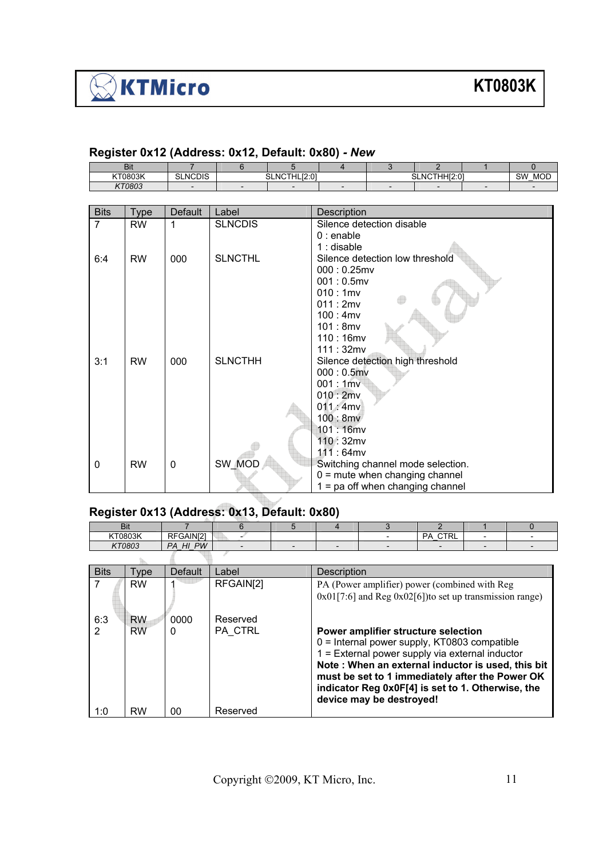| <b>Bit</b>      |                  |                                     |  |  |                            |  |  |                              |
|-----------------|------------------|-------------------------------------|--|--|----------------------------|--|--|------------------------------|
| KTNRN3K<br>suar | JCDIS<br>ິ<br>ΝO | 10.01<br>$\sim$ $\sim$<br>NG.<br>эı |  |  | . HHI2.0'<br>ົ<br>NL<br>υ۱ |  |  | <b>SW</b><br><b>MOD</b><br>- |
| KT0803          |                  | -                                   |  |  |                            |  |  |                              |

#### **Register 0x12 (Address: 0x12, Default: 0x80)** *- New*

| <b>Bits</b>    | <b>Type</b> | <b>Default</b> | Label          | Description                       |
|----------------|-------------|----------------|----------------|-----------------------------------|
| $\overline{7}$ | <b>RW</b>   | 1              | <b>SLNCDIS</b> | Silence detection disable         |
|                |             |                |                | $0:$ enable                       |
|                |             |                |                | $1:$ disable                      |
| 6:4            | <b>RW</b>   | 000            | <b>SLNCTHL</b> | Silence detection low threshold   |
|                |             |                |                | $000:0.25$ mv                     |
|                |             |                |                | $001:0.5$ mv                      |
|                |             |                |                | 010:1mv                           |
|                |             |                |                | 011:2mv                           |
|                |             |                |                | 100:4mv                           |
|                |             |                |                | 101:8mv                           |
|                |             |                |                | $110:16$ mv                       |
|                |             |                |                | 111:32mv                          |
| 3:1            | <b>RW</b>   | 000            | <b>SLNCTHH</b> | Silence detection high threshold  |
|                |             |                |                | $000:0.5$ mv                      |
|                |             |                |                | 001:1mv                           |
|                |             |                |                | 010:2mv                           |
|                |             |                |                | 011:4mv                           |
|                |             |                |                | 100:8mv                           |
|                |             |                |                | $101:16$ mv                       |
|                |             |                |                | 110:32mv                          |
|                |             |                |                | 111:64mv                          |
| 0              | <b>RW</b>   | 0              | SW MOD         | Switching channel mode selection. |
|                |             |                |                | $0 =$ mute when changing channel  |
|                |             |                |                | = pa off when changing channel    |

### **Register 0x13 (Address: 0x13, Default: 0x80)**

|                      | <b>Bit</b>             |                | 6                   | 5 |                                                                                                                                                                                                                                                                                                                                   | 3 | $\mathcal{P}$  |  | <sup>0</sup> |  |
|----------------------|------------------------|----------------|---------------------|---|-----------------------------------------------------------------------------------------------------------------------------------------------------------------------------------------------------------------------------------------------------------------------------------------------------------------------------------|---|----------------|--|--------------|--|
| KT0803K              |                        | RFGAIN[2]      |                     |   |                                                                                                                                                                                                                                                                                                                                   |   | <b>PA CTRL</b> |  |              |  |
| KT0803               |                        | PA HI PW       |                     |   |                                                                                                                                                                                                                                                                                                                                   |   |                |  |              |  |
|                      |                        |                |                     |   |                                                                                                                                                                                                                                                                                                                                   |   |                |  |              |  |
| <b>Bits</b>          | Type                   | <b>Default</b> | Label               |   | <b>Description</b>                                                                                                                                                                                                                                                                                                                |   |                |  |              |  |
|                      | <b>RW</b>              |                | RFGAIN[2]           |   | PA (Power amplifier) power (combined with Reg<br>$0x01[7:6]$ and Reg $0x02[6]$ ) to set up transmission range)                                                                                                                                                                                                                    |   |                |  |              |  |
| 6:3<br>$\mathcal{P}$ | <b>RW</b><br><b>RW</b> | 0000<br>0      | Reserved<br>PA CTRL |   | Power amplifier structure selection<br>$0 =$ Internal power supply, KT0803 compatible<br>1 = External power supply via external inductor<br>Note: When an external inductor is used, this bit<br>must be set to 1 immediately after the Power OK<br>indicator Reg 0x0F[4] is set to 1. Otherwise, the<br>device may be destroyed! |   |                |  |              |  |
| 1:0                  | <b>RW</b>              | 00             | Reserved            |   |                                                                                                                                                                                                                                                                                                                                   |   |                |  |              |  |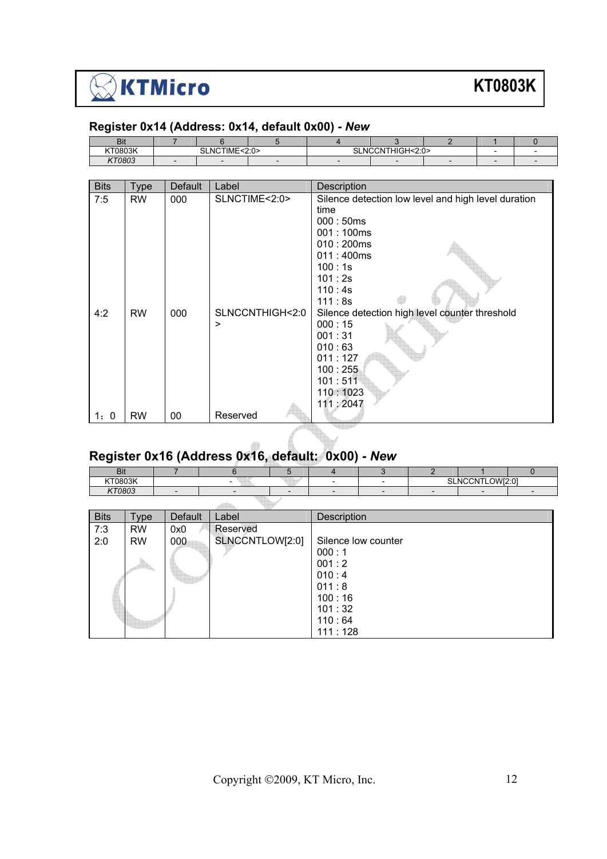

#### **Register 0x14 (Address: 0x14, default 0x00)** *- New*

| Bit     |                                            |  |  |                                                                               |  |  |
|---------|--------------------------------------------|--|--|-------------------------------------------------------------------------------|--|--|
| KT0803K | NCTIME∙<br>2.0<br>$\sim$<br>-NC<br>⊃∟<br>. |  |  | $N$ $\cap$ $\cap$ $N$ $\perp$ $\perp$ $\cap$ $\cap$ $\perp$ .<br>$\sim$<br>NΙ |  |  |
| KT0803  |                                            |  |  |                                                                               |  |  |

| <b>Bits</b> | Type      | <b>Default</b> | Label           | Description                                         |  |  |  |  |
|-------------|-----------|----------------|-----------------|-----------------------------------------------------|--|--|--|--|
| 7:5         | <b>RW</b> | 000            | SLNCTIME<2:0>   | Silence detection low level and high level duration |  |  |  |  |
|             |           |                |                 | time                                                |  |  |  |  |
|             |           |                |                 | 000:50ms                                            |  |  |  |  |
|             |           |                |                 | 001:100ms                                           |  |  |  |  |
|             |           |                |                 | 010:200ms                                           |  |  |  |  |
|             |           |                |                 | 011:400ms                                           |  |  |  |  |
|             |           |                |                 | 100:1s                                              |  |  |  |  |
|             |           |                |                 | 101:2s                                              |  |  |  |  |
|             |           |                |                 | 110:4s                                              |  |  |  |  |
|             |           |                |                 | 111:8s                                              |  |  |  |  |
| 4:2         | <b>RW</b> | 000            | SLNCCNTHIGH<2:0 | Silence detection high level counter threshold      |  |  |  |  |
|             |           |                | >               | 000:15                                              |  |  |  |  |
|             |           |                |                 | 001:31                                              |  |  |  |  |
|             |           |                |                 | 010:63                                              |  |  |  |  |
|             |           |                |                 | 011:127                                             |  |  |  |  |
|             |           |                |                 | 100:255                                             |  |  |  |  |
|             |           |                |                 | 101:511                                             |  |  |  |  |
|             |           |                |                 | 110:1023                                            |  |  |  |  |
|             |           |                | Reserved        | 111:2047                                            |  |  |  |  |
| 1:0         | <b>RW</b> | 00             |                 |                                                     |  |  |  |  |
|             |           |                |                 |                                                     |  |  |  |  |

#### **Register 0x16 (Address 0x16, default: 0x00)** *- New*

| - -<br>.<br>יים |  |  |  |                                                |  |
|-----------------|--|--|--|------------------------------------------------|--|
| KT0803K         |  |  |  | LOW[2:0]<br><b>OLNIOONITL</b><br>7N 7<br>N. 11 |  |
| KT0803          |  |  |  |                                                |  |

| <b>Bits</b> | Type      | Default | Label           | Description         |
|-------------|-----------|---------|-----------------|---------------------|
| 7:3         | <b>RW</b> | 0x0     | Reserved        |                     |
| 2:0         | <b>RW</b> | 000     | SLNCCNTLOW[2:0] | Silence low counter |
|             |           |         |                 | 000:1               |
|             |           |         |                 | 001:2               |
|             |           |         |                 | 010:4               |
|             |           |         |                 | 011:8               |
|             |           |         |                 | 100:16              |
|             |           |         |                 | 101:32              |
|             |           |         |                 | 110:64              |
|             |           |         |                 | 111:128             |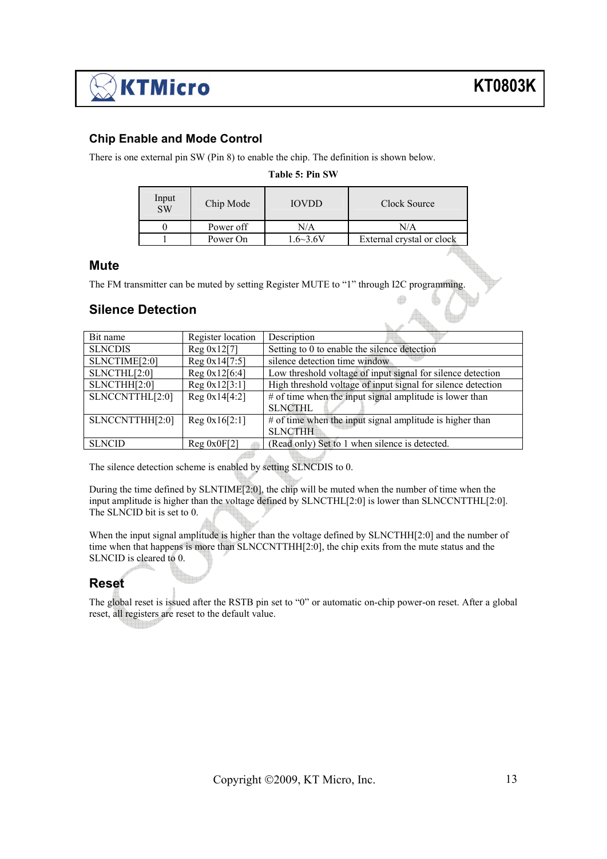#### **Chip Enable and Mode Control**

There is one external pin SW (Pin 8) to enable the chip. The definition is shown below.

**Table 5: Pin SW** 

| Input<br>SW | Chip Mode | <b>IOVDD</b>    | Clock Source              |
|-------------|-----------|-----------------|---------------------------|
|             | Power off | N/A             | N/A                       |
|             | Power On  | $.6 \sim 3.6 V$ | External crystal or clock |

 $\overline{a}$ 

#### **Mute**

The FM transmitter can be muted by setting Register MUTE to "1" through I2C programming.

#### **Silence Detection**

| Bit name        | Register location | Description                                                  |
|-----------------|-------------------|--------------------------------------------------------------|
| <b>SLNCDIS</b>  | Reg 0x12[7]       | Setting to 0 to enable the silence detection                 |
| SLNCTIME[2:0]   | Reg 0x14[7:5]     | silence detection time window                                |
| SLNCTHL[2:0]    | Reg 0x12[6:4]     | Low threshold voltage of input signal for silence detection  |
| SLNCTHH[2:0]    | Reg 0x12[3:1]     | High threshold voltage of input signal for silence detection |
| SLNCCNTTHL[2:0] | Reg 0x14[4:2]     | # of time when the input signal amplitude is lower than      |
|                 |                   | <b>SLNCTHL</b>                                               |
| SLNCCNTTHH[2:0] | Reg 0x16[2:1]     | # of time when the input signal amplitude is higher than     |
|                 |                   | <b>SLNCTHH</b>                                               |
| <b>SLNCID</b>   | Reg 0x0F[2]       | (Read only) Set to 1 when silence is detected.               |

The silence detection scheme is enabled by setting SLNCDIS to 0.

During the time defined by SLNTIME[2:0], the chip will be muted when the number of time when the input amplitude is higher than the voltage defined by SLNCTHL[2:0] is lower than SLNCCNTTHL[2:0]. The SLNCID bit is set to 0.

When the input signal amplitude is higher than the voltage defined by SLNCTHH[2:0] and the number of time when that happens is more than SLNCCNTTHH[2:0], the chip exits from the mute status and the SLNCID is cleared to 0.

#### **Reset**

The global reset is issued after the RSTB pin set to "0" or automatic on-chip power-on reset. After a global reset, all registers are reset to the default value.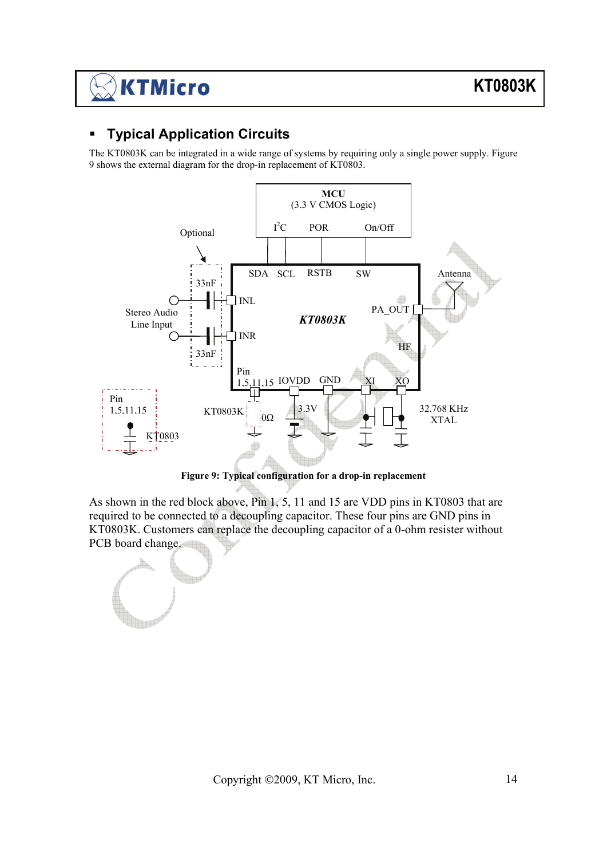### **Typical Application Circuits**

The KT0803K can be integrated in a wide range of systems by requiring only a single power supply. Figure 9 shows the external diagram for the drop-in replacement of KT0803.



**Figure 9: Typical configuration for a drop-in replacement** 

As shown in the red block above, Pin 1, 5, 11 and 15 are VDD pins in KT0803 that are required to be connected to a decoupling capacitor. These four pins are GND pins in KT0803K. Customers can replace the decoupling capacitor of a 0-ohm resister without PCB board change.

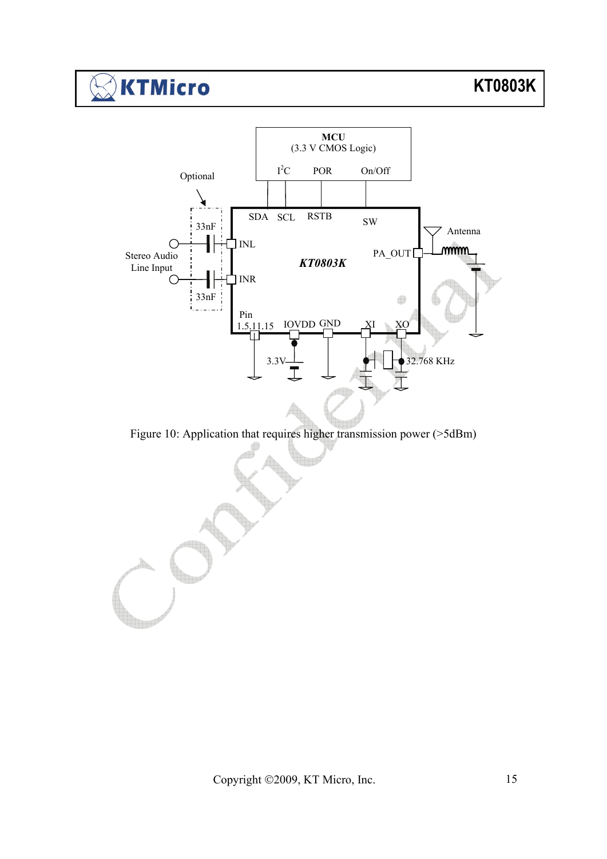#### **KTMicro**  $\binom{4}{2}$



Figure 10: Application that requires higher transmission power (>5dBm)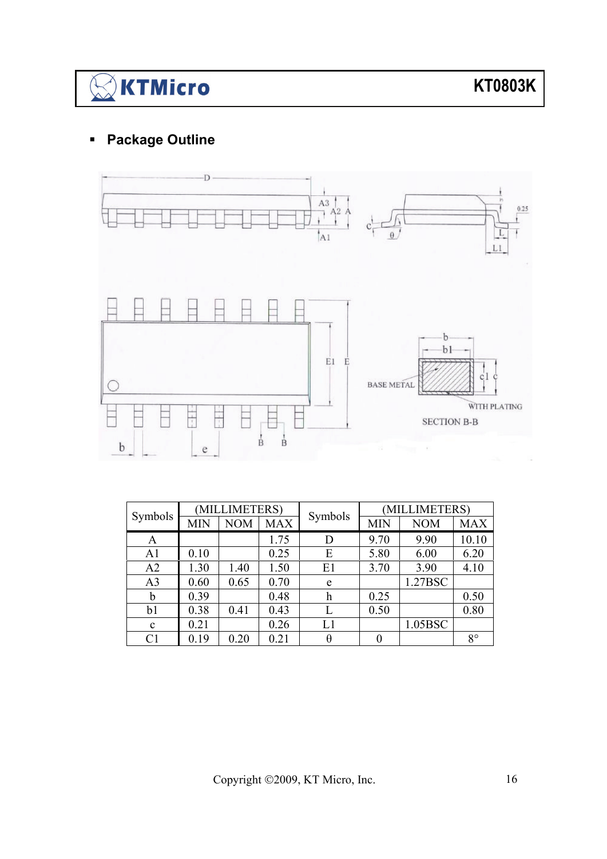# $\bigotimes$ KTMicro

## **Package Outline**



| Symbols        | (MILLIMETERS) |            |            | Symbols | (MILLIMETERS) |            |             |  |
|----------------|---------------|------------|------------|---------|---------------|------------|-------------|--|
|                | <b>MIN</b>    | <b>NOM</b> | <b>MAX</b> |         | <b>MIN</b>    | <b>NOM</b> | <b>MAX</b>  |  |
| A              |               |            | 1.75       | D       | 9.70          | 9.90       | 10.10       |  |
| A1             | 0.10          |            | 0.25       | Ε       | 5.80          | 6.00       | 6.20        |  |
| A2             | 1.30          | 1.40       | 1.50       | E1      | 3.70          | 3.90       | 4.10        |  |
| A <sub>3</sub> | 0.60          | 0.65       | 0.70       | e       |               | 1.27BSC    |             |  |
| b              | 0.39          |            | 0.48       | h       | 0.25          |            | 0.50        |  |
| b1             | 0.38          | 0.41       | 0.43       |         | 0.50          |            | 0.80        |  |
| $\mathbf{c}$   | 0.21          |            | 0.26       | L1      |               | 1.05BSC    |             |  |
| C <sub>1</sub> | 0.19          | 0.20       | 0.21       | θ       |               |            | $8^{\circ}$ |  |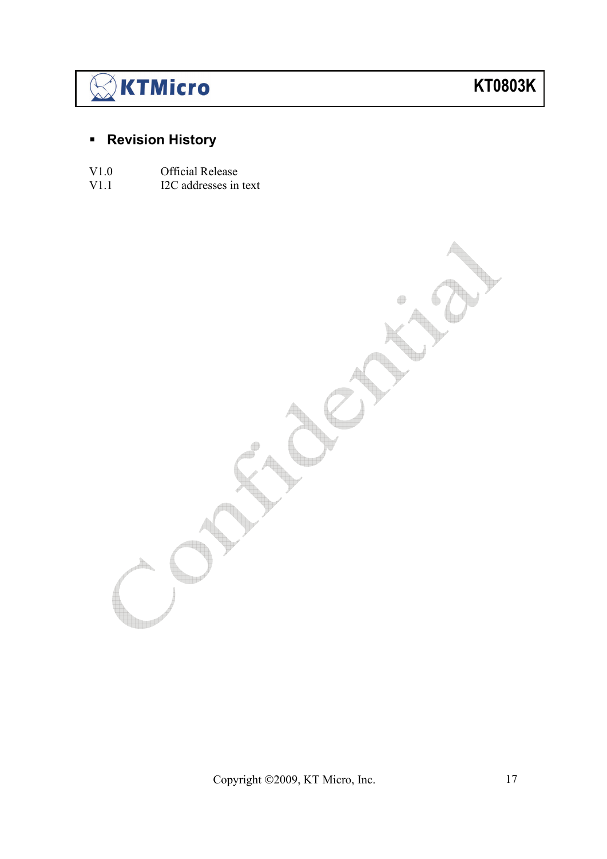# $\mathbb{\geqslant}$ KTMicro

## **KT0803K**

## **Revision History**

- V1.0 Official Release<br>V1.1 I2C addresses in
- I2C addresses in text